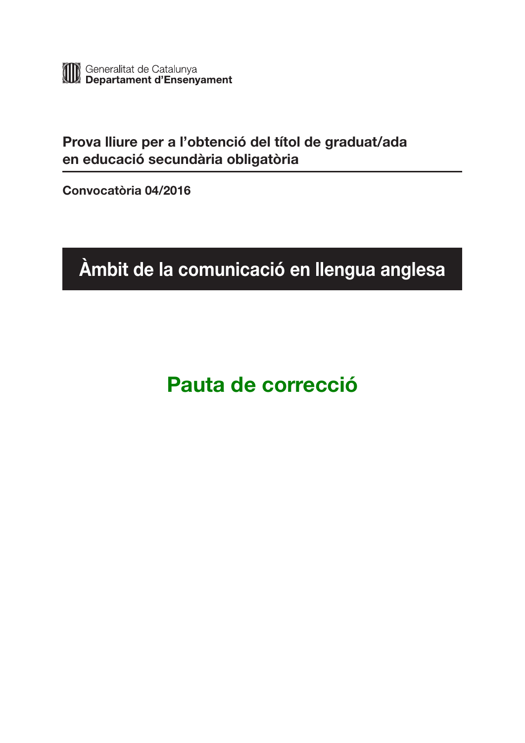# **Prova lliure per a l'obtenció del títol de graduat/ada en educació secundària obligatòria**

**Convocatòria 04/2016**

# **Àmbit de la comunicació en llengua anglesa**

# **Pauta de correcció**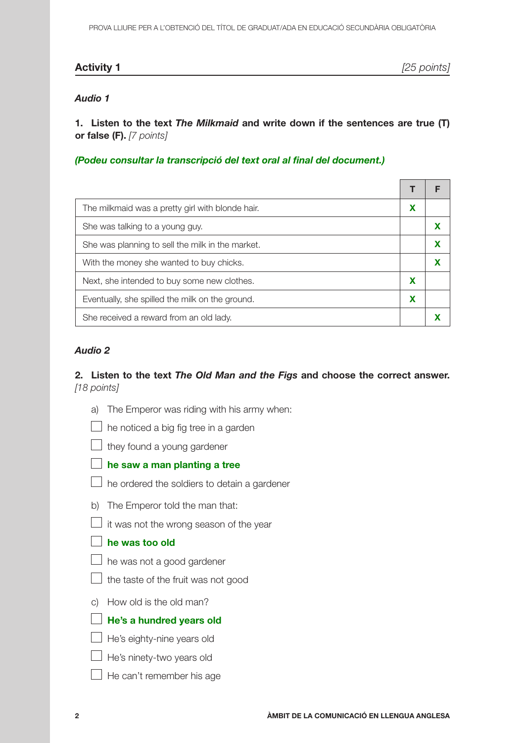#### *Audio 1*

**1. Listen to the text** *The Milkmaid* **and write down if the sentences are true (T) or false (F).** *[7 points]*

#### *(Podeu consultar la transcripció del text oral al final del document.)*

| The milkmaid was a pretty girl with blonde hair. | x |  |
|--------------------------------------------------|---|--|
| She was talking to a young guy.                  |   |  |
| She was planning to sell the milk in the market. |   |  |
| With the money she wanted to buy chicks.         |   |  |
| Next, she intended to buy some new clothes.      | x |  |
| Eventually, she spilled the milk on the ground.  | x |  |
| She received a reward from an old lady.          |   |  |

#### *Audio 2*

### **2. Listen to the text** *The Old Man and the Figs* **and choose the correct answer.**  *[18 points]*

- a) The Emperor was riding with his army when:
- $\Box$  he noticed a big fig tree in a garden
- $\Box$  they found a young gardener
- **he saw a man planting a tree**
- $\Box$  he ordered the soldiers to detain a gardener
- b) The Emperor told the man that:
- $\Box$  it was not the wrong season of the year

# **he was too old**

- $\Box$  he was not a good gardener
- $\Box$  the taste of the fruit was not good
- c) How old is the old man?

#### **He's a hundred years old**

- $\Box$  He's eighty-nine years old
- $\Box$  He's ninety-two years old
- $\Box$  He can't remember his age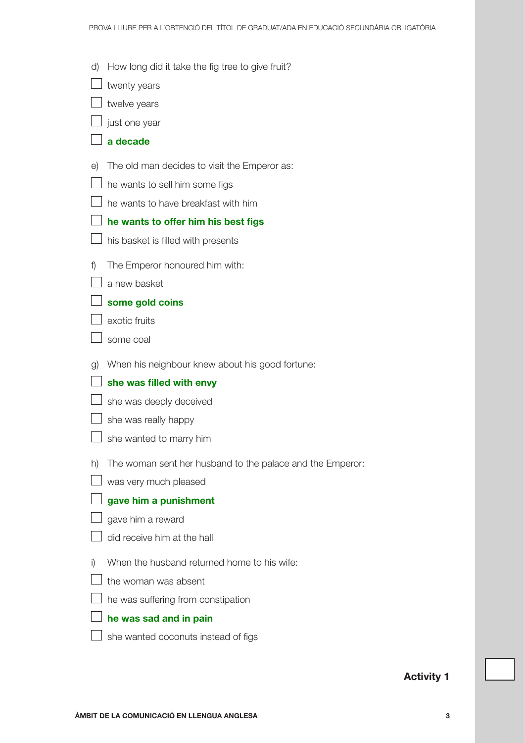d) How long did it take the fig tree to give fruit?

|  | twenty years |  |
|--|--------------|--|
|--|--------------|--|

- $\Box$  twelve vears
- $\Box$  just one year

# **a decade**

- e) The old man decides to visit the Emperor as:
- $\Box$  he wants to sell him some figs
- $\Box$  he wants to have breakfast with him

#### **he wants to offer him his best figs**

- $\Box$  his basket is filled with presents
- f) The Emperor honoured him with:
- **L** a new basket

**some gold coins**

- exotic fruits
- some coal
- g) When his neighbour knew about his good fortune:

### **she was filled with envy**

- $\Box$  she was deeply deceived
- $\Box$  she was really happy
- $\Box$  she wanted to marry him
- h) The woman sent her husband to the palace and the Emperor:
- was very much pleased

| gave him a punishment |  |  |
|-----------------------|--|--|
|                       |  |  |

- $\Box$  gave him a reward
- $\Box$  did receive him at the hall
- i) When the husband returned home to his wife:
- $\Box$  the woman was absent
- $\Box$  he was suffering from constipation
- **he was sad and in pain**
- $\Box$  she wanted coconuts instead of figs

#### **Activity 1**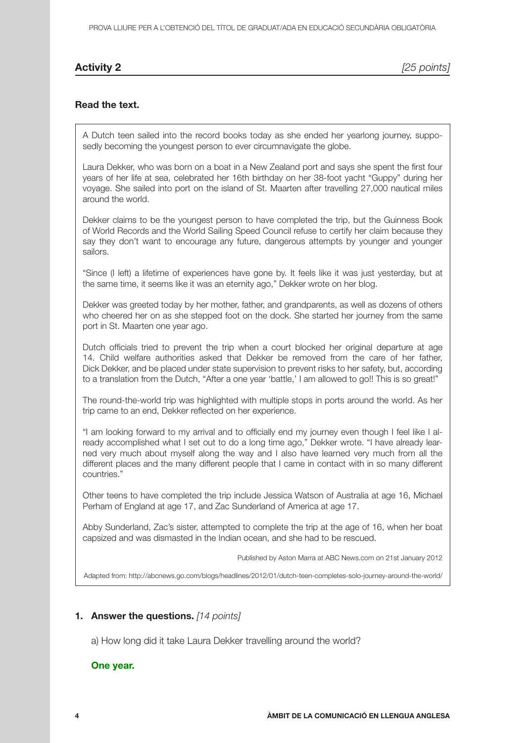PROVA LLIURE PER A L'OBTENCIÓ DEL TÍTOL DE GRADUAT/ADA EN EDUCACIÓ SECUNDÀRIA OBLIGATÒRIA

### **Activity 2** *[25 points]*

#### **Read the text.**

A Dutch teen sailed into the record books today as she ended her yearlong journey, supposedly becoming the youngest person to ever circumnavigate the globe.

Laura Dekker, who was born on a boat in a New Zealand port and says she spent the first four years of her life at sea, celebrated her 16th birthday on her 38-foot yacht "Guppy" during her voyage. She sailed into port on the island of St. Maarten after travelling 27,000 nautical miles around the world.

Dekker claims to be the youngest person to have completed the trip, but the Guinness Book of World Records and the World Sailing Speed Council refuse to certify her claim because they say they don't want to encourage any future, dangerous attempts by younger and younger sailors.

"Since (I left) a lifetime of experiences have gone by. It feels like it was just yesterday, but at the same time, it seems like it was an eternity ago," Dekker wrote on her blog.

Dekker was greeted today by her mother, father, and grandparents, as well as dozens of others who cheered her on as she stepped foot on the dock. She started her journey from the same port in St. Maarten one year ago.

Dutch officials tried to prevent the trip when a court blocked her original departure at age 14. Child welfare authorities asked that Dekker be removed from the care of her father, Dick Dekker, and be placed under state supervision to prevent risks to her safety, but, according to a translation from the Dutch, "After a one year 'battle,' I am allowed to go!! This is so great!"

The round-the-world trip was highlighted with multiple stops in ports around the world. As her trip came to an end, Dekker reflected on her experience.

"I am looking forward to my arrival and to officially end my journey even though I feel like I already accomplished what I set out to do a long time ago," Dekker wrote. "I have already learned very much about myself along the way and I also have learned very much from all the different places and the many different people that I came in contact with in so many different countries."

Other teens to have completed the trip include Jessica Watson of Australia at age 16, Michael Perham of England at age 17, and Zac Sunderland of America at age 17.

Abby Sunderland, Zac's sister, attempted to complete the trip at the age of 16, when her boat capsized and was dismasted in the Indian ocean, and she had to be rescued.

Published by Aston Marra at ABC News.com on 21st January 2012

Adapted from: http://abcnews.go.com/blogs/headlines/2012/01/dutch-teen-completes-solo-journey-around-the-world/

#### **1. Answer the questions.** *[14 points]*

a) How long did it take Laura Dekker travelling around the world?

#### **One year.**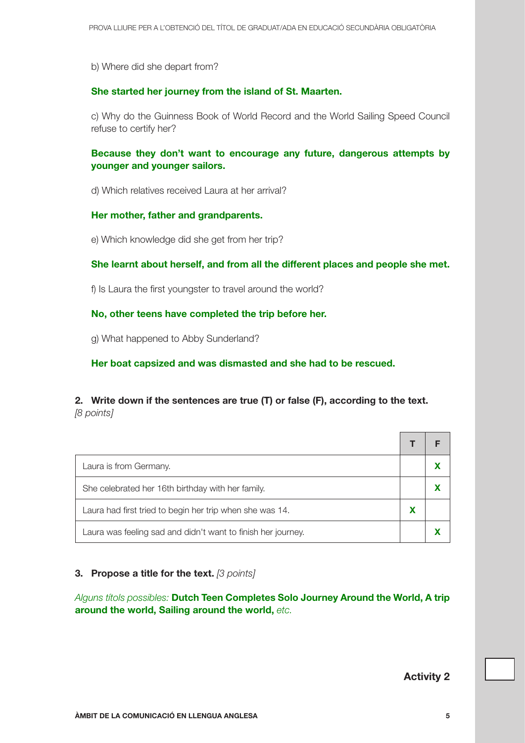b) Where did she depart from?

#### **She started her journey from the island of St. Maarten.**

c) Why do the Guinness Book of World Record and the World Sailing Speed Council refuse to certify her?

**Because they don't want to encourage any future, dangerous attempts by younger and younger sailors.**

d) Which relatives received Laura at her arrival?

#### **Her mother, father and grandparents.**

e) Which knowledge did she get from her trip?

#### **She learnt about herself, and from all the different places and people she met.**

f) Is Laura the first youngster to travel around the world?

#### **No, other teens have completed the trip before her.**

g) What happened to Abby Sunderland?

**Her boat capsized and was dismasted and she had to be rescued.**

**2. Write down if the sentences are true (T) or false (F), according to the text.** *[8 points]*

| Laura is from Germany.                                       |  |
|--------------------------------------------------------------|--|
| She celebrated her 16th birthday with her family.            |  |
| Laura had first tried to begin her trip when she was 14.     |  |
| Laura was feeling sad and didn't want to finish her journey. |  |

#### **3. Propose a title for the text.** *[3 points]*

*Alguns títols possibles:* **Dutch Teen Completes Solo Journey Around the World, A trip around the world, Sailing around the world,** *etc.*

**Activity 2**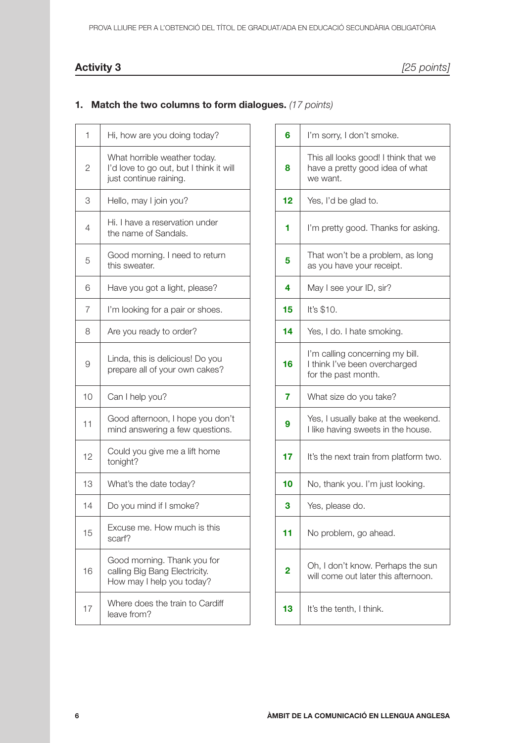# **Activity 3** *[25 points]*

## **1. Match the two columns to form dialogues.** *(17 points)*

| Hi, how are you doing today?                                                                      | 6            | I'm sorry, I don't smoke.                                                               |
|---------------------------------------------------------------------------------------------------|--------------|-----------------------------------------------------------------------------------------|
| What horrible weather today.<br>I'd love to go out, but I think it will<br>just continue raining. | 8            | This all looks good! I think that<br>have a pretty good idea of wha<br>we want.         |
| Hello, may I join you?                                                                            | 12           | Yes, I'd be glad to.                                                                    |
| Hi. I have a reservation under<br>the name of Sandals.                                            | 1            | I'm pretty good. Thanks for ask                                                         |
| Good morning. I need to return<br>this sweater.                                                   | 5            | That won't be a problem, as lor<br>as you have your receipt.                            |
| Have you got a light, please?                                                                     | 4            | May I see your ID, sir?                                                                 |
| I'm looking for a pair or shoes.                                                                  | 15           | It's \$10.                                                                              |
| Are you ready to order?                                                                           | 14           | Yes, I do. I hate smoking.                                                              |
| Linda, this is delicious! Do you<br>prepare all of your own cakes?                                | 16           | I'm calling concerning my bill.<br>I think I've been overcharged<br>for the past month. |
| Can I help you?                                                                                   | 7            | What size do you take?                                                                  |
| Good afternoon, I hope you don't<br>mind answering a few questions.                               | 9            | Yes, I usually bake at the week<br>I like having sweets in the hous                     |
| Could you give me a lift home<br>tonight?                                                         | 17           | It's the next train from platform                                                       |
| What's the date today?                                                                            | 10           | No, thank you. I'm just looking.                                                        |
| Do you mind if I smoke?                                                                           | 3            | Yes, please do.                                                                         |
| Excuse me. How much is this<br>scarf?                                                             | 11           | No problem, go ahead.                                                                   |
| Good morning. Thank you for<br>calling Big Bang Electricity.<br>How may I help you today?         | $\mathbf{2}$ | Oh, I don't know. Perhaps the<br>will come out later this afternod                      |
| Where does the train to Cardiff<br>leave from?                                                    | 13           | It's the tenth, I think.                                                                |
|                                                                                                   |              |                                                                                         |

| Hi, how are you doing today?                                                                      | 6              | I'm sorry, I don't smoke.                                                               |
|---------------------------------------------------------------------------------------------------|----------------|-----------------------------------------------------------------------------------------|
| What horrible weather today.<br>I'd love to go out, but I think it will<br>just continue raining. | 8              | This all looks good! I think that we<br>have a pretty good idea of what<br>we want.     |
| Hello, may I join you?                                                                            | 12             | Yes, I'd be glad to.                                                                    |
| Hi. I have a reservation under<br>the name of Sandals.                                            | 1              | I'm pretty good. Thanks for asking.                                                     |
| Good morning. I need to return<br>this sweater.                                                   | 5              | That won't be a problem, as long<br>as you have your receipt.                           |
| Have you got a light, please?                                                                     | 4              | May I see your ID, sir?                                                                 |
| I'm looking for a pair or shoes.                                                                  | 15             | It's \$10.                                                                              |
| Are you ready to order?                                                                           | 14             | Yes, I do. I hate smoking.                                                              |
| Linda, this is delicious! Do you<br>prepare all of your own cakes?                                | 16             | I'm calling concerning my bill.<br>I think I've been overcharged<br>for the past month. |
| Can I help you?                                                                                   | 7              | What size do you take?                                                                  |
| Good afternoon, I hope you don't<br>mind answering a few questions.                               | 9              | Yes, I usually bake at the weekend.<br>I like having sweets in the house.               |
| Could you give me a lift home<br>tonight?                                                         | 17             | It's the next train from platform two.                                                  |
| What's the date today?                                                                            | 10             | No, thank you. I'm just looking.                                                        |
| Do you mind if I smoke?                                                                           | 3              | Yes, please do.                                                                         |
| Excuse me. How much is this<br>scarf?                                                             | 11             | No problem, go ahead.                                                                   |
| Good morning. Thank you for<br>calling Big Bang Electricity.<br>How may I help you today?         | $\overline{2}$ | Oh, I don't know. Perhaps the sun<br>will come out later this afternoon.                |
| Where does the train to Cardiff<br>leave from?                                                    | 13             | It's the tenth, I think.                                                                |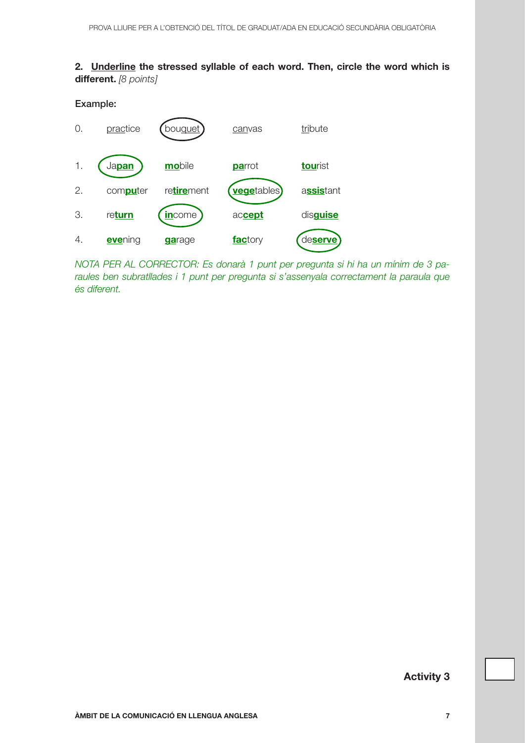**2. Underline the stressed syllable of each word. Then, circle the word which is different.** *[8 points]*

Example:



*NOTA PER AL CORRECTOR: Es donarà 1 punt per pregunta si hi ha un mínim de 3 paraules ben subratllades i 1 punt per pregunta si s'assenyala correctament la paraula que és diferent.*

#### **Activity 3**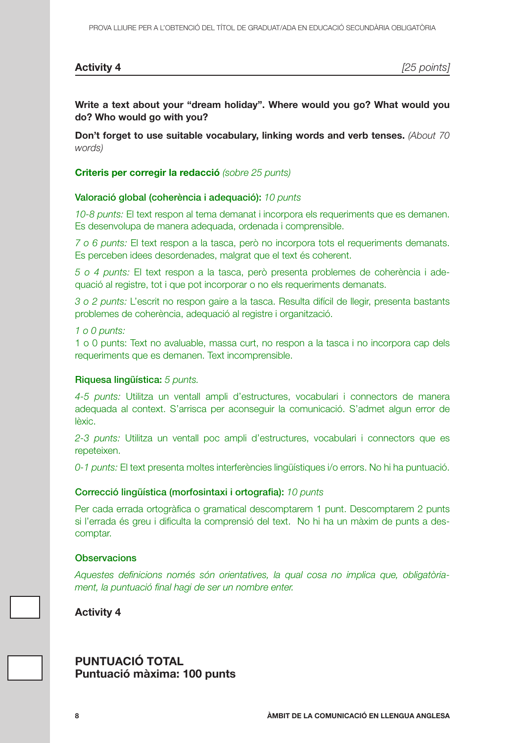**Write a text about your "dream holiday". Where would you go? What would you do? Who would go with you?**

**Don't forget to use suitable vocabulary, linking words and verb tenses.** *(About 70 words)*

#### **Criteris per corregir la redacció** *(sobre 25 punts)*

#### Valoració global (coherència i adequació): *10 punts*

*10-8 punts:* El text respon al tema demanat i incorpora els requeriments que es demanen. Es desenvolupa de manera adequada, ordenada i comprensible.

*7 o 6 punts:* El text respon a la tasca, però no incorpora tots el requeriments demanats. Es perceben idees desordenades, malgrat que el text és coherent.

*5 o 4 punts:* El text respon a la tasca, però presenta problemes de coherència i adequació al registre, tot i que pot incorporar o no els requeriments demanats.

*3 o 2 punts:* L'escrit no respon gaire a la tasca. Resulta difícil de llegir, presenta bastants problemes de coherència, adequació al registre i organització.

*1 o 0 punts:*

1 o 0 punts: Text no avaluable, massa curt, no respon a la tasca i no incorpora cap dels requeriments que es demanen. Text incomprensible.

#### Riquesa lingüística: *5 punts.*

*4-5 punts:* Utilitza un ventall ampli d'estructures, vocabulari i connectors de manera adequada al context. S'arrisca per aconseguir la comunicació. S'admet algun error de lèxic.

*2-3 punts:* Utilitza un ventall poc ampli d'estructures, vocabulari i connectors que es repeteixen.

*0-1 punts:* El text presenta moltes interferències lingüístiques i/o errors. No hi ha puntuació.

#### Correcció lingüística (morfosintaxi i ortografia): *10 punts*

Per cada errada ortogràfica o gramatical descomptarem 1 punt. Descomptarem 2 punts si l'errada és greu i dificulta la comprensió del text. No hi ha un màxim de punts a descomptar.

#### **Observacions**

*Aquestes definicions només són orientatives, la qual cosa no implica que, obligatòriament, la puntuació final hagi de ser un nombre enter.*

**Activity 4**

# **PUNTUACIÓ TOTAL Puntuació màxima: 100 punts**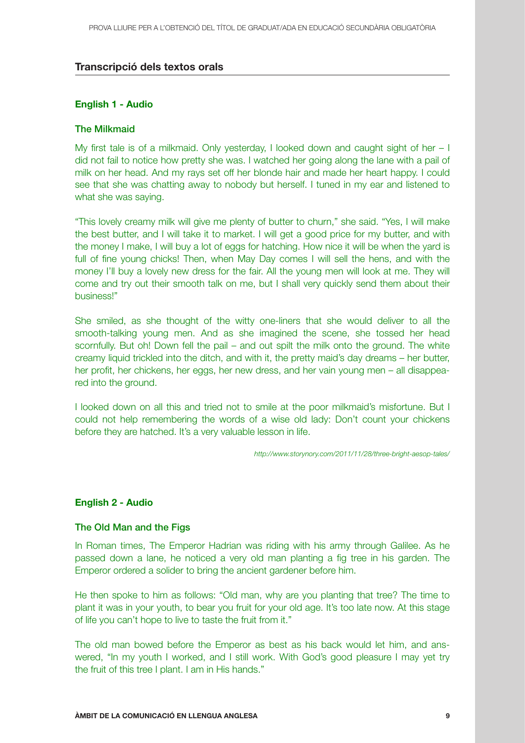#### **Transcripció dels textos orals**

#### **English 1 - Audio**

#### The Milkmaid

My first tale is of a milkmaid. Only yesterday, I looked down and caught sight of her – I did not fail to notice how pretty she was. I watched her going along the lane with a pail of milk on her head. And my rays set off her blonde hair and made her heart happy. I could see that she was chatting away to nobody but herself. I tuned in my ear and listened to what she was saying.

"This lovely creamy milk will give me plenty of butter to churn," she said. "Yes, I will make the best butter, and I will take it to market. I will get a good price for my butter, and with the money I make, I will buy a lot of eggs for hatching. How nice it will be when the yard is full of fine young chicks! Then, when May Day comes I will sell the hens, and with the money I'll buy a lovely new dress for the fair. All the young men will look at me. They will come and try out their smooth talk on me, but I shall very quickly send them about their business!"

She smiled, as she thought of the witty one-liners that she would deliver to all the smooth-talking young men. And as she imagined the scene, she tossed her head scornfully. But oh! Down fell the pail – and out spilt the milk onto the ground. The white creamy liquid trickled into the ditch, and with it, the pretty maid's day dreams – her butter, her profit, her chickens, her eggs, her new dress, and her vain young men – all disappeared into the ground.

I looked down on all this and tried not to smile at the poor milkmaid's misfortune. But I could not help remembering the words of a wise old lady: Don't count your chickens before they are hatched. It's a very valuable lesson in life.

*http://www.storynory.com/2011/11/28/three-bright-aesop-tales/*

#### **English 2 - Audio**

#### The Old Man and the Figs

In Roman times, The Emperor Hadrian was riding with his army through Galilee. As he passed down a lane, he noticed a very old man planting a fig tree in his garden. The Emperor ordered a solider to bring the ancient gardener before him.

He then spoke to him as follows: "Old man, why are you planting that tree? The time to plant it was in your youth, to bear you fruit for your old age. It's too late now. At this stage of life you can't hope to live to taste the fruit from it."

The old man bowed before the Emperor as best as his back would let him, and answered, "In my youth I worked, and I still work. With God's good pleasure I may yet try the fruit of this tree I plant. I am in His hands."